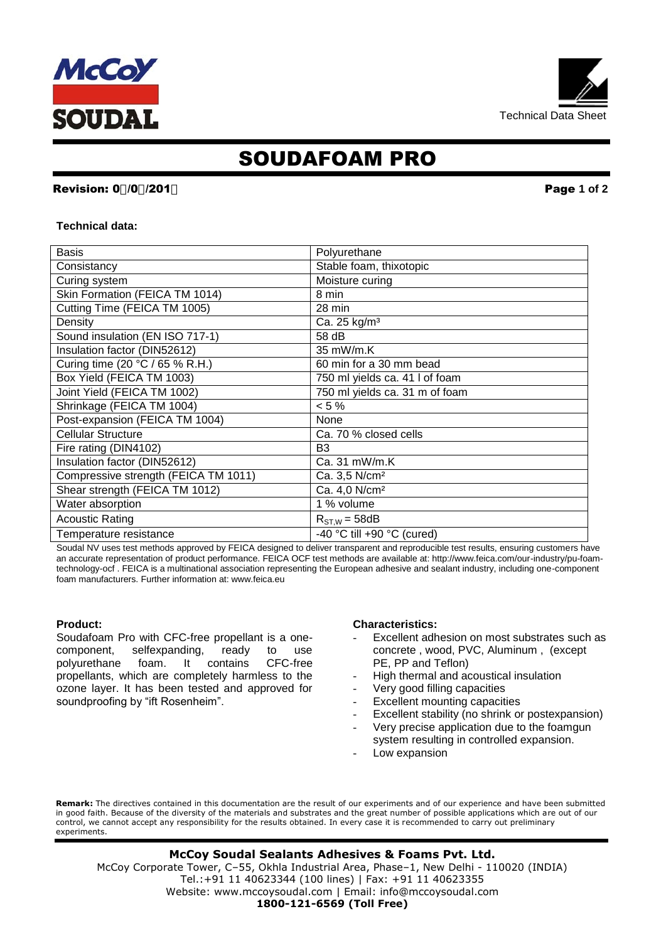



# SOUDAFOAM PRO

# **Revision: 0%0%201\* Page 1 of 2**

#### **Technical data:**

| <b>Basis</b>                         | Polyurethane                   |
|--------------------------------------|--------------------------------|
| Consistancy                          | Stable foam, thixotopic        |
| Curing system                        | Moisture curing                |
| Skin Formation (FEICA TM 1014)       | 8 min                          |
| Cutting Time (FEICA TM 1005)         | 28 min                         |
| Density                              | Ca. 25 kg/m <sup>3</sup>       |
| Sound insulation (EN ISO 717-1)      | 58 dB                          |
| Insulation factor (DIN52612)         | 35 mW/m.K                      |
| Curing time (20 °C / 65 % R.H.)      | 60 min for a 30 mm bead        |
| Box Yield (FEICA TM 1003)            | 750 ml yields ca. 41 l of foam |
| Joint Yield (FEICA TM 1002)          | 750 ml yields ca. 31 m of foam |
| Shrinkage (FEICA TM 1004)            | $< 5 \%$                       |
| Post-expansion (FEICA TM 1004)       | None                           |
| <b>Cellular Structure</b>            | Ca. 70 % closed cells          |
| Fire rating (DIN4102)                | B <sub>3</sub>                 |
| Insulation factor (DIN52612)         | $Ca.31$ mW/m.K                 |
| Compressive strength (FEICA TM 1011) | Ca. 3,5 N/cm <sup>2</sup>      |
| Shear strength (FEICA TM 1012)       | Ca. 4,0 N/cm <sup>2</sup>      |
| Water absorption                     | 1 % volume                     |
| <b>Acoustic Rating</b>               | $R_{ST,W} = 58dB$              |
| Temperature resistance               | -40 °C till +90 °C (cured)     |

Soudal NV uses test methods approved by FEICA designed to deliver transparent and reproducible test results, ensuring customers have an accurate representation of product performance. FEICA OCF test methods are available at: http://www.feica.com/our-industry/pu-foamtechnology-ocf . FEICA is a multinational association representing the European adhesive and sealant industry, including one-component foam manufacturers. Further information at: www.feica.eu

#### **Product:**

Soudafoam Pro with CFC-free propellant is a onecomponent, selfexpanding, ready to use<br>polyurethane foam. It contains CFC-free polyurethane foam. It contains CFC-free propellants, which are completely harmless to the ozone layer. It has been tested and approved for soundproofing by "ift Rosenheim".

#### **Characteristics:**

- Excellent adhesion on most substrates such as concrete , wood, PVC, Aluminum , (except PE, PP and Teflon)
- High thermal and acoustical insulation
- Very good filling capacities
- Excellent mounting capacities
- Excellent stability (no shrink or postexpansion)
- Very precise application due to the foamgun
- system resulting in controlled expansion.
- Low expansion

**Remark:** The directives contained in this documentation are the result of our experiments and of our experience and have been submitted in good faith. Because of the diversity of the materials and substrates and the great number of possible applications which are out of our control, we cannot accept any responsibility for the results obtained. In every case it is recommended to carry out preliminary experiments.

 Tel.:+91 11 40623344 (100 lines) | Fax: +91 11 40623355 **McCoy Soudal Sealants Adhesives & Foams Pvt. Ltd.** McCoy Corporate Tower, C–55, Okhla Industrial Area, Phase–1, New Delhi - 110020 (INDIA) Website: www.mccoysoudal.com | Email: info@mccoysoudal.com **1800-121-6569 (Toll Free)**